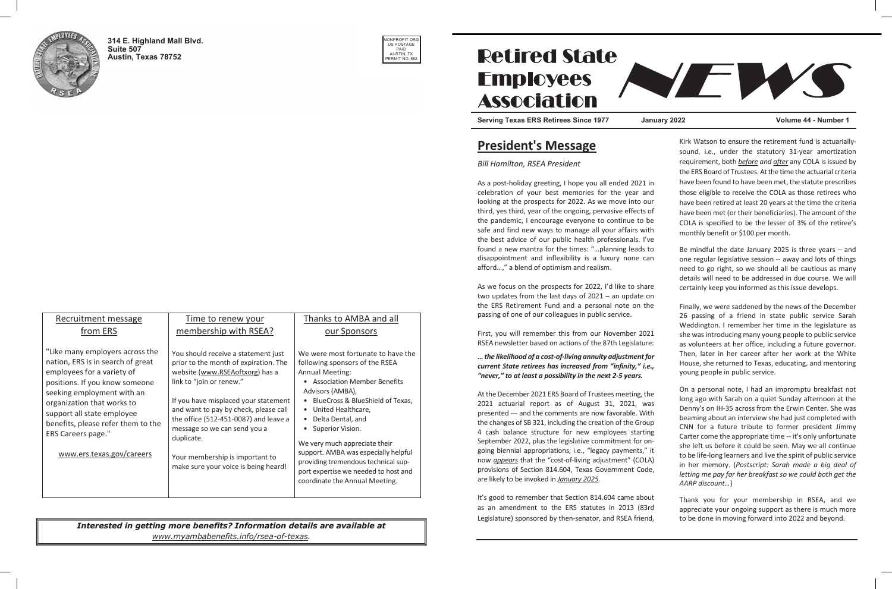It's good to remember that Section 814.604 came about as an amendment to the ERS statutes in 2013 (83rd Legislature) sponsored by then-senator, and RSEA friend, It s good to remember that Section 814.604 came abo

Kirk Watson to ensure the retirement fund is actuarially-

# President's Message President's Message

# Bill Hamilton, RSEA President Bill Hamilton, RSEA President

As a post-holiday greeting, I hope you all ended 2021 in celebration of your best memories for the year and looking at the prospects for 2022. As we move into our third, yes third, year of the ongoing, pervasive effects of the pandemic, I encourage everyone to continue to safe and find new ways to manage all your affairs with the best advice of our public health professionals. I've found a new mantra for the times: "...planning leads disappointment and inflexibility is a luxury none can afford...," a blend of optimism and realism.

As we focus on the prospects for 2022, I'd like to share two updates from the last days of 2021 – an update on the ERS Retirement Fund and a personal note on the passing of one of our colleagues in public service.

First, you will remember this from our November RSEA newsletter based on actions of the 87th Legislature:

# $\dots$  the likelihood of a cost-of-living annuity adjustment for ... the incentiood of a cost-of-living allitally adjustment for<br>current State retirees has increased from "infinity," i.e., carrent state retirees has increased from "infinity,".<br>"never," to at least a possibility in the next 2-5 years.  $\frac{1}{2}$  are  $\frac{1}{2}$  to at least a possibility in the fiext 2-5 years.

At the December 2021 ERS Board of Trustees meeting, the At the December 2021 LKS Board of Trustees meeting, the<br>2021 actuarial report as of August 31, 2021, was presented --- and the comments are now favorable. With the changes of SB 321, including the creation of the Group 4 cash balance structure for new employees star September 2022, plus the legislative commitment for ongoing biennial appropriations, i.e., "legacy payments," it now *appears* that the "cost-of-living adjustment" (COLA) provisions of Section 814.604, Texas Government Code, are likely to be invoked in January 2025.

|           | sound, i.e., under the statutory 31-year amortization<br>requirement, both <b>before</b> and after any COLA is issued by<br>the ERS Board of Trustees. At the time the actuarial criteria |  |  |
|-----------|-------------------------------------------------------------------------------------------------------------------------------------------------------------------------------------------|--|--|
| $21$ in   | have been found to have been met, the statute prescribes                                                                                                                                  |  |  |
| and       | those eligible to receive the COLA as those retirees who                                                                                                                                  |  |  |
| our       | have been retired at least 20 years at the time the criteria                                                                                                                              |  |  |
| ts of     | have been met (or their beneficiaries). The amount of the                                                                                                                                 |  |  |
| o be      | COLA is specified to be the lesser of 3% of the retiree's                                                                                                                                 |  |  |
| with      | monthly benefit or \$100 per month.                                                                                                                                                       |  |  |
| l've      |                                                                                                                                                                                           |  |  |
| ds to     | Be mindful the date January 2025 is three years $-$ and                                                                                                                                   |  |  |
| can       | one regular legislative session -- away and lots of things                                                                                                                                |  |  |
|           | need to go right, so we should all be cautious as many                                                                                                                                    |  |  |
|           | details will need to be addressed in due course. We will                                                                                                                                  |  |  |
| hare      | certainly keep you informed as this issue develops.                                                                                                                                       |  |  |
| e on      |                                                                                                                                                                                           |  |  |
| the       | Finally, we were saddened by the news of the December<br>26 passing of a friend in state public service Sarah<br>Weddington. I remember her time in the legislature as                    |  |  |
| 2021      | she was introducing many young people to public service                                                                                                                                   |  |  |
| ture:     | as volunteers at her office, including a future governor.                                                                                                                                 |  |  |
| nt for    | Then, later in her career after her work at the White                                                                                                                                     |  |  |
| $'$ i.e., | House, she returned to Texas, educating, and mentoring                                                                                                                                    |  |  |
| i.        | young people in public service.                                                                                                                                                           |  |  |
| the       | On a personal note, I had an impromptu breakfast not                                                                                                                                      |  |  |
| was       | long ago with Sarah on a quiet Sunday afternoon at the                                                                                                                                    |  |  |
| With      | Denny's on IH-35 across from the Erwin Center. She was                                                                                                                                    |  |  |
| roup      | beaming about an interview she had just completed with                                                                                                                                    |  |  |
| rting     | CNN for a future tribute to former president Jimmy<br>Carter come the appropriate time -- it's only unfortunate                                                                           |  |  |
| r on-     | she left us before it could be seen. May we all continue                                                                                                                                  |  |  |
| s," it    | to be life-long learners and live the spirit of public service                                                                                                                            |  |  |
| OLA)      | in her memory. (Postscript: Sarah made a big deal of                                                                                                                                      |  |  |
| code,     | letting me pay for her breakfast so we could both get the                                                                                                                                 |  |  |
|           | AARP discount)                                                                                                                                                                            |  |  |
| bout      |                                                                                                                                                                                           |  |  |
| 83rd      | Thank you for your membership in RSEA, and we<br>appreciate your ongoing support as there is much more                                                                                    |  |  |
|           |                                                                                                                                                                                           |  |  |

to be done in moving forward into 2022 and beyond.



314 E. Highland Mall Blvd. **Suite 507 Austin, Texas 78752 Suite 507** 

| Recruitment message                                                                                                                                                                                                                                                                                                            | Time to renew your                                                                                                                                                                                                                                                                                                                                                                             | Thanks to AMBA and all                                                                                                                                                                                                                                                                                                                                                                                                                                               |
|--------------------------------------------------------------------------------------------------------------------------------------------------------------------------------------------------------------------------------------------------------------------------------------------------------------------------------|------------------------------------------------------------------------------------------------------------------------------------------------------------------------------------------------------------------------------------------------------------------------------------------------------------------------------------------------------------------------------------------------|----------------------------------------------------------------------------------------------------------------------------------------------------------------------------------------------------------------------------------------------------------------------------------------------------------------------------------------------------------------------------------------------------------------------------------------------------------------------|
| from ERS                                                                                                                                                                                                                                                                                                                       | membership with RSEA?                                                                                                                                                                                                                                                                                                                                                                          | our Sponsors                                                                                                                                                                                                                                                                                                                                                                                                                                                         |
| "Like many employers across the<br>nation, ERS is in search of great<br>employees for a variety of<br>positions. If you know someone<br>seeking employment with an<br>organization that works to<br>support all state employee<br>benefits, please refer them to the<br><b>ERS Careers page."</b><br>www.ers.texas.gov/careers | You should receive a statement just<br>prior to the month of expiration. The<br>website (www.RSEAoftxorg) has a<br>link to "join or renew."<br>If you have misplaced your statement<br>and want to pay by check, please call<br>the office (512-451-0087) and leave a<br>message so we can send you a<br>duplicate.<br>Your membership is important to<br>make sure your voice is being heard! | We were most fortunate to have the<br>following sponsors of the RSEA<br><b>Annual Meeting:</b><br><b>Association Member Benefits</b><br>Advisors (AMBA),<br>BlueCross & BlueShield of Texas,<br>• United Healthcare,<br>Delta Dental, and<br>Superior Vision.<br>$\bullet$<br>We very much appreciate their<br>support. AMBA was especially helpful<br>providing tremendous technical sup-<br>port expertise we needed to host and<br>coordinate the Annual Meeting. |

Interested in getting more benefits? Information details are available at www.myambabenefits.info/rsea-of-texas. Congratulations to all!  $\blacksquare$   $\blacksquare$   $\blacksquare$   $\blacksquare$   $\blacksquare$   $\blacksquare$   $\blacksquare$   $\blacksquare$   $\blacksquare$   $\blacksquare$   $\blacksquare$   $\blacksquare$   $\blacksquare$   $\blacksquare$   $\blacksquare$   $\blacksquare$   $\blacksquare$   $\blacksquare$   $\blacksquare$   $\blacksquare$   $\blacksquare$   $\blacksquare$   $\blacksquare$   $\blacksquare$   $\blacksquare$   $\blacksquare$   $\blacksquare$   $\blacksquare$   $\blacksquare$   $\blacksquare$   $\blacksquare$   $\blacks$  $\parallel$  and the contract  $\parallel$  and  $\parallel$  and  $\parallel$  are  $\parallel$  and  $\parallel$  are  $\parallel$  and  $\parallel$  are  $\parallel$  and  $\parallel$  and  $\parallel$  and  $\parallel$  and  $\parallel$  and  $\parallel$  and  $\parallel$  and  $\parallel$  and  $\parallel$  and  $\parallel$  and  $\parallel$  and  $\parallel$  and  $\parallel$  and  $\parallel$  and  $\parallel$  and

Mary Z. of Austin





# **Retired State Employees Association**  $\overline{S}$  , the serving Texas ERS  $\overline{S}$  and  $\overline{S}$   $\overline{S}$  and  $\overline{S}$   $\overline{S}$   $\overline{S}$   $\overline{S}$   $\overline{S}$   $\overline{S}$   $\overline{S}$   $\overline{S}$   $\overline{S}$   $\overline{S}$   $\overline{S}$   $\overline{S}$   $\overline{S}$   $\overline{S}$   $\overline{S}$   $\overline{S}$   $\overline{S}$

Serving Texas ERS Retirees Since 1977 January 2022 Volume 44 - Number 1 ŗ

Ϊ